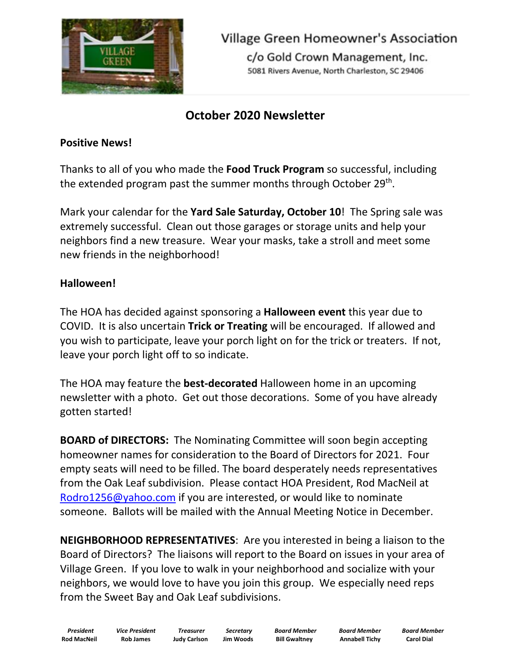

**Village Green Homeowner's Association** 

c/o Gold Crown Management, Inc. 5081 Rivers Avenue, North Charleston, SC 29406

## **October 2020 Newsletter**

#### **Positive News!**

Thanks to all of you who made the **Food Truck Program** so successful, including the extended program past the summer months through October 29<sup>th</sup>.

Mark your calendar for the **Yard Sale Saturday, October 10**! The Spring sale was extremely successful. Clean out those garages or storage units and help your neighbors find a new treasure. Wear your masks, take a stroll and meet some new friends in the neighborhood!

### **Halloween!**

The HOA has decided against sponsoring a **Halloween event** this year due to COVID. It is also uncertain **Trick or Treating** will be encouraged. If allowed and you wish to participate, leave your porch light on for the trick or treaters. If not, leave your porch light off to so indicate.

The HOA may feature the **best-decorated** Halloween home in an upcoming newsletter with a photo. Get out those decorations. Some of you have already gotten started!

**BOARD of DIRECTORS:** The Nominating Committee will soon begin accepting homeowner names for consideration to the Board of Directors for 2021. Four empty seats will need to be filled. The board desperately needs representatives from the Oak Leaf subdivision. Please contact HOA President, Rod MacNeil at [Rodro1256@yahoo.com](Rodro1256@yahoo.com%20) if you are interested, or would like to nominate someone. Ballots will be mailed with the Annual Meeting Notice in December.

**NEIGHBORHOOD REPRESENTATIVES**: Are you interested in being a liaison to the Board of Directors? The liaisons will report to the Board on issues in your area of Village Green. If you love to walk in your neighborhood and socialize with your neighbors, we would love to have you join this group. We especially need reps from the Sweet Bay and Oak Leaf subdivisions.